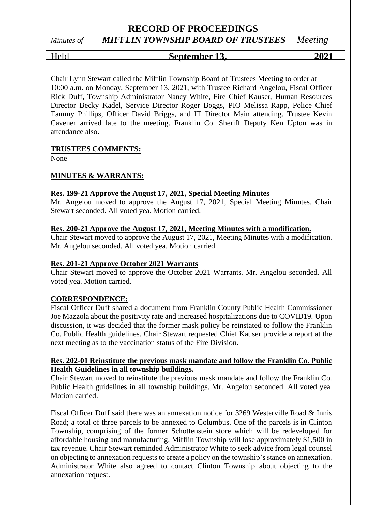*Minutes of MIFFLIN TOWNSHIP BOARD OF TRUSTEES Meeting*

# Held **September 13, 2021**

Chair Lynn Stewart called the Mifflin Township Board of Trustees Meeting to order at 10:00 a.m. on Monday, September 13, 2021, with Trustee Richard Angelou, Fiscal Officer Rick Duff, Township Administrator Nancy White, Fire Chief Kauser, Human Resources Director Becky Kadel, Service Director Roger Boggs, PIO Melissa Rapp, Police Chief Tammy Phillips, Officer David Briggs, and IT Director Main attending. Trustee Kevin Cavener arrived late to the meeting. Franklin Co. Sheriff Deputy Ken Upton was in attendance also.

#### **TRUSTEES COMMENTS:**

None

#### **MINUTES & WARRANTS:**

#### **Res. 199-21 Approve the August 17, 2021, Special Meeting Minutes**

Mr. Angelou moved to approve the August 17, 2021, Special Meeting Minutes. Chair Stewart seconded. All voted yea. Motion carried.

#### **Res. 200-21 Approve the August 17, 2021, Meeting Minutes with a modification.**

Chair Stewart moved to approve the August 17, 2021, Meeting Minutes with a modification. Mr. Angelou seconded. All voted yea. Motion carried.

#### **Res. 201-21 Approve October 2021 Warrants**

Chair Stewart moved to approve the October 2021 Warrants. Mr. Angelou seconded. All voted yea. Motion carried.

#### **CORRESPONDENCE:**

Fiscal Officer Duff shared a document from Franklin County Public Health Commissioner Joe Mazzola about the positivity rate and increased hospitalizations due to COVID19. Upon discussion, it was decided that the former mask policy be reinstated to follow the Franklin Co. Public Health guidelines. Chair Stewart requested Chief Kauser provide a report at the next meeting as to the vaccination status of the Fire Division.

#### **Res. 202-01 Reinstitute the previous mask mandate and follow the Franklin Co. Public Health Guidelines in all township buildings.**

Chair Stewart moved to reinstitute the previous mask mandate and follow the Franklin Co. Public Health guidelines in all township buildings. Mr. Angelou seconded. All voted yea. Motion carried.

Fiscal Officer Duff said there was an annexation notice for 3269 Westerville Road & Innis Road; a total of three parcels to be annexed to Columbus. One of the parcels is in Clinton Township, comprising of the former Schottenstein store which will be redeveloped for affordable housing and manufacturing. Mifflin Township will lose approximately \$1,500 in tax revenue. Chair Stewart reminded Administrator White to seek advice from legal counsel on objecting to annexation requests to create a policy on the township's stance on annexation. Administrator White also agreed to contact Clinton Township about objecting to the annexation request.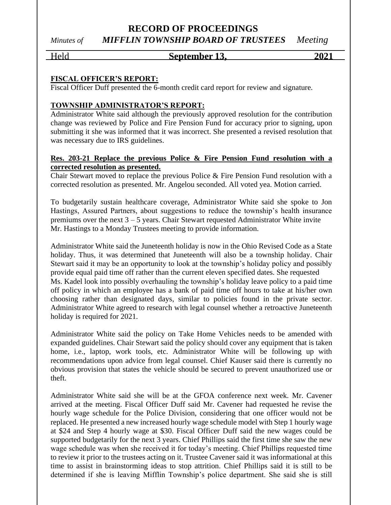### **RECORD OF PROCEEDINGS** *Minutes of MIFFLIN TOWNSHIP BOARD OF TRUSTEES Meeting*

#### Held **September 13, 2021**

#### **FISCAL OFFICER'S REPORT:**

Fiscal Officer Duff presented the 6-month credit card report for review and signature.

#### **TOWNSHIP ADMINISTRATOR'S REPORT:**

Administrator White said although the previously approved resolution for the contribution change was reviewed by Police and Fire Pension Fund for accuracy prior to signing, upon submitting it she was informed that it was incorrect. She presented a revised resolution that was necessary due to IRS guidelines.

#### **Res. 203-21 Replace the previous Police & Fire Pension Fund resolution with a corrected resolution as presented.**

Chair Stewart moved to replace the previous Police & Fire Pension Fund resolution with a corrected resolution as presented. Mr. Angelou seconded. All voted yea. Motion carried.

To budgetarily sustain healthcare coverage, Administrator White said she spoke to Jon Hastings, Assured Partners, about suggestions to reduce the township's health insurance premiums over the next  $3 - 5$  years. Chair Stewart requested Administrator White invite Mr. Hastings to a Monday Trustees meeting to provide information.

Administrator White said the Juneteenth holiday is now in the Ohio Revised Code as a State holiday. Thus, it was determined that Juneteenth will also be a township holiday. Chair Stewart said it may be an opportunity to look at the township's holiday policy and possibly provide equal paid time off rather than the current eleven specified dates. She requested Ms. Kadel look into possibly overhauling the township's holiday leave policy to a paid time off policy in which an employee has a bank of paid time off hours to take at his/her own choosing rather than designated days, similar to policies found in the private sector. Administrator White agreed to research with legal counsel whether a retroactive Juneteenth holiday is required for 2021.

Administrator White said the policy on Take Home Vehicles needs to be amended with expanded guidelines. Chair Stewart said the policy should cover any equipment that is taken home, i.e., laptop, work tools, etc. Administrator White will be following up with recommendations upon advice from legal counsel. Chief Kauser said there is currently no obvious provision that states the vehicle should be secured to prevent unauthorized use or theft.

Administrator White said she will be at the GFOA conference next week. Mr. Cavener arrived at the meeting. Fiscal Officer Duff said Mr. Cavener had requested he revise the hourly wage schedule for the Police Division, considering that one officer would not be replaced. He presented a new increased hourly wage schedule model with Step 1 hourly wage at \$24 and Step 4 hourly wage at \$30. Fiscal Officer Duff said the new wages could be supported budgetarily for the next 3 years. Chief Phillips said the first time she saw the new wage schedule was when she received it for today's meeting. Chief Phillips requested time to review it prior to the trustees acting on it. Trustee Cavener said it was informational at this time to assist in brainstorming ideas to stop attrition. Chief Phillips said it is still to be determined if she is leaving Mifflin Township's police department. She said she is still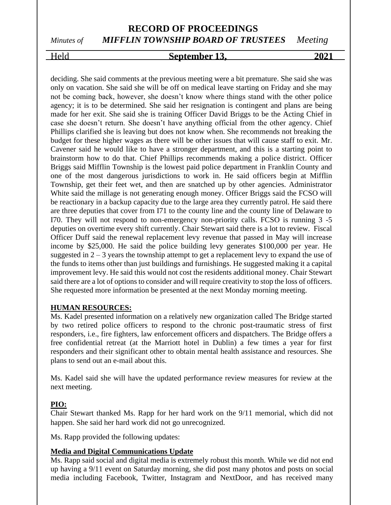# *Minutes of MIFFLIN TOWNSHIP BOARD OF TRUSTEES Meeting*

### Held **September 13, 2021**

deciding. She said comments at the previous meeting were a bit premature. She said she was only on vacation. She said she will be off on medical leave starting on Friday and she may not be coming back, however, she doesn't know where things stand with the other police agency; it is to be determined. She said her resignation is contingent and plans are being made for her exit. She said she is training Officer David Briggs to be the Acting Chief in case she doesn't return. She doesn't have anything official from the other agency. Chief Phillips clarified she is leaving but does not know when. She recommends not breaking the budget for these higher wages as there will be other issues that will cause staff to exit. Mr. Cavener said he would like to have a stronger department, and this is a starting point to brainstorm how to do that. Chief Phillips recommends making a police district. Officer Briggs said Mifflin Township is the lowest paid police department in Franklin County and one of the most dangerous jurisdictions to work in. He said officers begin at Mifflin Township, get their feet wet, and then are snatched up by other agencies. Administrator White said the millage is not generating enough money. Officer Briggs said the FCSO will be reactionary in a backup capacity due to the large area they currently patrol. He said there are three deputies that cover from I71 to the county line and the county line of Delaware to I70. They will not respond to non-emergency non-priority calls. FCSO is running 3 -5 deputies on overtime every shift currently. Chair Stewart said there is a lot to review. Fiscal Officer Duff said the renewal replacement levy revenue that passed in May will increase income by \$25,000. He said the police building levy generates \$100,000 per year. He suggested in  $2 - 3$  years the township attempt to get a replacement levy to expand the use of the funds to items other than just buildings and furnishings. He suggested making it a capital improvement levy. He said this would not cost the residents additional money. Chair Stewart said there are a lot of options to consider and will require creativity to stop the loss of officers. She requested more information be presented at the next Monday morning meeting.

#### **HUMAN RESOURCES:**

Ms. Kadel presented information on a relatively new organization called The Bridge started by two retired police officers to respond to the chronic post-traumatic stress of first responders, i.e., fire fighters, law enforcement officers and dispatchers. The Bridge offers a free confidential retreat (at the Marriott hotel in Dublin) a few times a year for first responders and their significant other to obtain mental health assistance and resources. She plans to send out an e-mail about this.

Ms. Kadel said she will have the updated performance review measures for review at the next meeting.

#### **PIO:**

Chair Stewart thanked Ms. Rapp for her hard work on the 9/11 memorial, which did not happen. She said her hard work did not go unrecognized.

Ms. Rapp provided the following updates:

#### **Media and Digital Communications Update**

Ms. Rapp said social and digital media is extremely robust this month. While we did not end up having a 9/11 event on Saturday morning, she did post many photos and posts on social media including Facebook, Twitter, Instagram and NextDoor, and has received many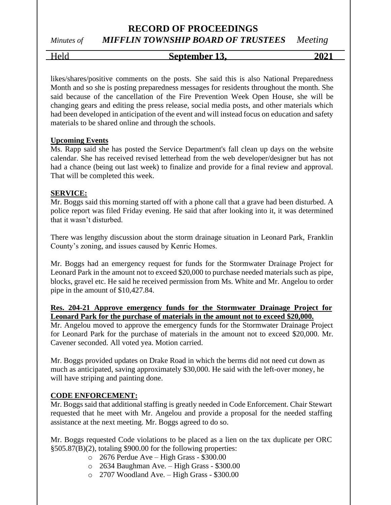# *Minutes of MIFFLIN TOWNSHIP BOARD OF TRUSTEES Meeting*

Held **September 13, 2021**

likes/shares/positive comments on the posts. She said this is also National Preparedness Month and so she is posting preparedness messages for residents throughout the month. She said because of the cancellation of the Fire Prevention Week Open House, she will be changing gears and editing the press release, social media posts, and other materials which had been developed in anticipation of the event and will instead focus on education and safety materials to be shared online and through the schools.

#### **Upcoming Events**

Ms. Rapp said she has posted the Service Department's fall clean up days on the website calendar. She has received revised letterhead from the web developer/designer but has not had a chance (being out last week) to finalize and provide for a final review and approval. That will be completed this week.

#### **SERVICE:**

Mr. Boggs said this morning started off with a phone call that a grave had been disturbed. A police report was filed Friday evening. He said that after looking into it, it was determined that it wasn't disturbed.

There was lengthy discussion about the storm drainage situation in Leonard Park, Franklin County's zoning, and issues caused by Kenric Homes.

Mr. Boggs had an emergency request for funds for the Stormwater Drainage Project for Leonard Park in the amount not to exceed \$20,000 to purchase needed materials such as pipe, blocks, gravel etc. He said he received permission from Ms. White and Mr. Angelou to order pipe in the amount of \$10,427.84.

#### **Res. 204-21 Approve emergency funds for the Stormwater Drainage Project for Leonard Park for the purchase of materials in the amount not to exceed \$20,000.**

Mr. Angelou moved to approve the emergency funds for the Stormwater Drainage Project for Leonard Park for the purchase of materials in the amount not to exceed \$20,000. Mr. Cavener seconded. All voted yea. Motion carried.

Mr. Boggs provided updates on Drake Road in which the berms did not need cut down as much as anticipated, saving approximately \$30,000. He said with the left-over money, he will have striping and painting done.

#### **CODE ENFORCEMENT:**

Mr. Boggs said that additional staffing is greatly needed in Code Enforcement. Chair Stewart requested that he meet with Mr. Angelou and provide a proposal for the needed staffing assistance at the next meeting. Mr. Boggs agreed to do so.

Mr. Boggs requested Code violations to be placed as a lien on the tax duplicate per ORC §505.87(B)(2), totaling \$900.00 for the following properties:

- o 2676 Perdue Ave High Grass \$300.00
- o 2634 Baughman Ave. High Grass \$300.00
- o 2707 Woodland Ave. High Grass \$300.00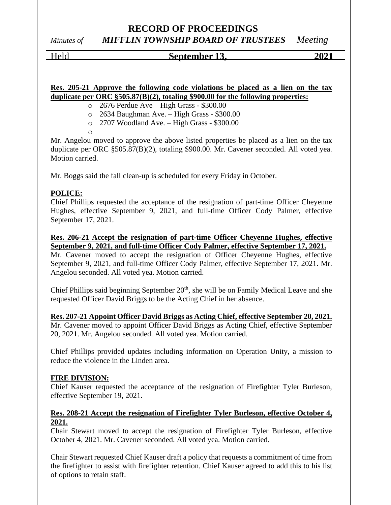### **RECORD OF PROCEEDINGS** *Minutes of MIFFLIN TOWNSHIP BOARD OF TRUSTEES Meeting*

#### Held **September 13, 2021**

**Res. 205-21 Approve the following code violations be placed as a lien on the tax duplicate per ORC §505.87(B)(2), totaling \$900.00 for the following properties:**

o 2676 Perdue Ave – High Grass - \$300.00

o 2634 Baughman Ave. – High Grass - \$300.00

o 2707 Woodland Ave. – High Grass - \$300.00

o

Mr. Angelou moved to approve the above listed properties be placed as a lien on the tax duplicate per ORC §505.87(B)(2), totaling \$900.00. Mr. Cavener seconded. All voted yea. Motion carried.

Mr. Boggs said the fall clean-up is scheduled for every Friday in October.

#### **POLICE:**

Chief Phillips requested the acceptance of the resignation of part-time Officer Cheyenne Hughes, effective September 9, 2021, and full-time Officer Cody Palmer, effective September 17, 2021.

**Res. 206-21 Accept the resignation of part-time Officer Cheyenne Hughes, effective September 9, 2021, and full-time Officer Cody Palmer, effective September 17, 2021.**

Mr. Cavener moved to accept the resignation of Officer Cheyenne Hughes, effective September 9, 2021, and full-time Officer Cody Palmer, effective September 17, 2021. Mr. Angelou seconded. All voted yea. Motion carried.

Chief Phillips said beginning September 20<sup>th</sup>, she will be on Family Medical Leave and she requested Officer David Briggs to be the Acting Chief in her absence.

**Res. 207-21 Appoint Officer David Briggs as Acting Chief, effective September 20, 2021.** Mr. Cavener moved to appoint Officer David Briggs as Acting Chief, effective September 20, 2021. Mr. Angelou seconded. All voted yea. Motion carried.

Chief Phillips provided updates including information on Operation Unity, a mission to reduce the violence in the Linden area.

#### **FIRE DIVISION:**

Chief Kauser requested the acceptance of the resignation of Firefighter Tyler Burleson, effective September 19, 2021.

#### **Res. 208-21 Accept the resignation of Firefighter Tyler Burleson, effective October 4, 2021.**

Chair Stewart moved to accept the resignation of Firefighter Tyler Burleson, effective October 4, 2021. Mr. Cavener seconded. All voted yea. Motion carried.

Chair Stewart requested Chief Kauser draft a policy that requests a commitment of time from the firefighter to assist with firefighter retention. Chief Kauser agreed to add this to his list of options to retain staff.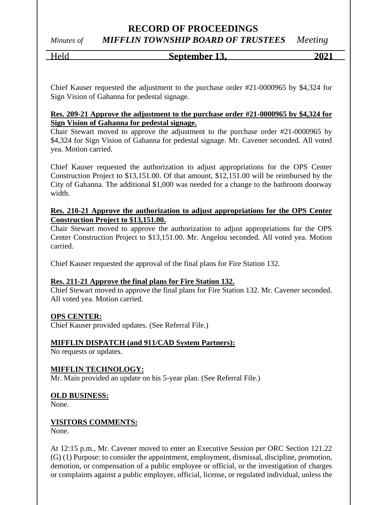**RECORD OF PROCEEDINGS** *Minutes of MIFFLIN TOWNSHIP BOARD OF TRUSTEES Meeting*

# Held **September 13, 2021**

Chief Kauser requested the adjustment to the purchase order #21-0000965 by \$4,324 for Sign Vision of Gahanna for pedestal signage.

#### **Res. 209-21 Approve the adjustment to the purchase order #21-0000965 by \$4,324 for Sign Vision of Gahanna for pedestal signage.**

Chair Stewart moved to approve the adjustment to the purchase order #21-0000965 by \$4,324 for Sign Vision of Gahanna for pedestal signage. Mr. Cavener seconded. All voted yea. Motion carried.

Chief Kauser requested the authorization to adjust appropriations for the OPS Center Construction Project to \$13,151.00. Of that amount, \$12,151.00 will be reimbursed by the City of Gahanna. The additional \$1,000 was needed for a change to the bathroom doorway width.

#### **Res. 210-21 Approve the authorization to adjust appropriations for the OPS Center Construction Project to \$13,151.00.**

Chair Stewart moved to approve the authorization to adjust appropriations for the OPS Center Construction Project to \$13,151.00. Mr. Angelou seconded. All voted yea. Motion carried.

Chief Kauser requested the approval of the final plans for Fire Station 132.

#### **Res. 211-21 Approve the final plans for Fire Station 132.**

Chief Stewart moved to approve the final plans for Fire Station 132. Mr. Cavener seconded. All voted yea. Motion carried.

#### **OPS CENTER:**

Chief Kauser provided updates. (See Referral File.)

#### **MIFFLIN DISPATCH (and 911/CAD System Partners):**

No requests or updates.

#### **MIFFLIN TECHNOLOGY:**

Mr. Main provided an update on his 5-year plan. (See Referral File.)

#### **OLD BUSINESS:**

None.

#### **VISITORS COMMENTS:**

None.

At 12:15 p.m., Mr. Cavener moved to enter an Executive Session per ORC Section 121.22 (G) (1) Purpose: to consider the appointment, employment, dismissal, discipline, promotion, demotion, or compensation of a public employee or official, or the investigation of charges or complaints against a public employee, official, license, or regulated individual, unless the